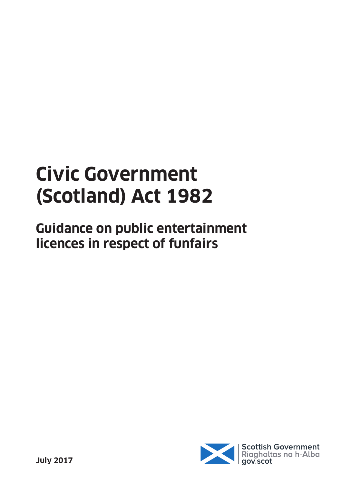# **Civic Government (Scotland) Act 1982**

**Guidance on public entertainment licences in respect of funfairs**

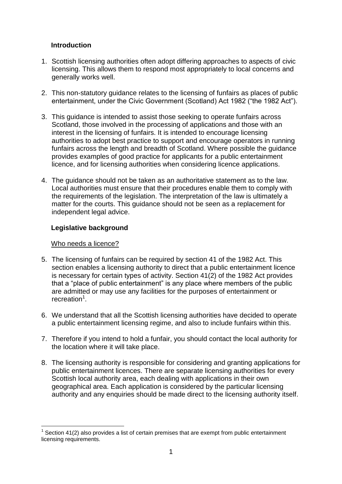# **Introduction**

- 1. Scottish licensing authorities often adopt differing approaches to aspects of civic licensing. This allows them to respond most appropriately to local concerns and generally works well.
- 2. This non-statutory guidance relates to the licensing of funfairs as places of public entertainment, under the Civic Government (Scotland) Act 1982 ("the 1982 Act").
- 3. This guidance is intended to assist those seeking to operate funfairs across Scotland, those involved in the processing of applications and those with an interest in the licensing of funfairs. It is intended to encourage licensing authorities to adopt best practice to support and encourage operators in running funfairs across the length and breadth of Scotland. Where possible the guidance provides examples of good practice for applicants for a public entertainment licence, and for licensing authorities when considering licence applications.
- 4. The guidance should not be taken as an authoritative statement as to the law. Local authorities must ensure that their procedures enable them to comply with the requirements of the legislation. The interpretation of the law is ultimately a matter for the courts. This guidance should not be seen as a replacement for independent legal advice.

# **Legislative background**

#### Who needs a licence?

1

- 5. The licensing of funfairs can be required by section 41 of the 1982 Act. This section enables a licensing authority to direct that a public entertainment licence is necessary for certain types of activity. Section 41(2) of the 1982 Act provides that a "place of public entertainment" is any place where members of the public are admitted or may use any facilities for the purposes of entertainment or recreation<sup>1</sup>.
- 6. We understand that all the Scottish licensing authorities have decided to operate a public entertainment licensing regime, and also to include funfairs within this.
- 7. Therefore if you intend to hold a funfair, you should contact the local authority for the location where it will take place.
- 8. The licensing authority is responsible for considering and granting applications for public entertainment licences. There are separate licensing authorities for every Scottish local authority area, each dealing with applications in their own geographical area. Each application is considered by the particular licensing authority and any enquiries should be made direct to the licensing authority itself.

 $1$  Section 41(2) also provides a list of certain premises that are exempt from public entertainment licensing requirements.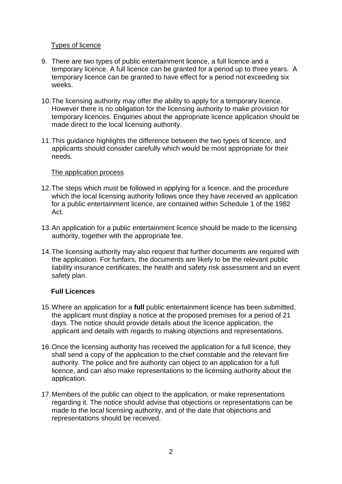# Types of licence

- 9. There are two types of public entertainment licence, a full licence and a temporary licence. A full licence can be granted for a period up to three years. A temporary licence can be granted to have effect for a period not exceeding six weeks.
- 10.The licensing authority may offer the ability to apply for a temporary licence. However there is no obligation for the licensing authority to make provision for temporary licences. Enquiries about the appropriate licence application should be made direct to the local licensing authority.
- 11.This guidance highlights the difference between the two types of licence, and applicants should consider carefully which would be most appropriate for their needs.

#### The application process

- 12.The steps which must be followed in applying for a licence, and the procedure which the local licensing authority follows once they have received an application for a public entertainment licence, are contained within Schedule 1 of the 1982 Act.
- 13.An application for a public entertainment licence should be made to the licensing authority, together with the appropriate fee.
- 14.The licensing authority may also request that further documents are required with the application. For funfairs, the documents are likely to be the relevant public liability insurance certificates, the health and safety risk assessment and an event safety plan.

#### **Full Licences**

- 15.Where an application for a **full** public entertainment licence has been submitted, the applicant must display a notice at the proposed premises for a period of 21 days. The notice should provide details about the licence application, the applicant and details with regards to making objections and representations.
- 16.Once the licensing authority has received the application for a full licence, they shall send a copy of the application to the chief constable and the relevant fire authority. The police and fire authority can object to an application for a full licence, and can also make representations to the licensing authority about the application.
- 17.Members of the public can object to the application, or make representations regarding it. The notice should advise that objections or representations can be made to the local licensing authority, and of the date that objections and representations should be received.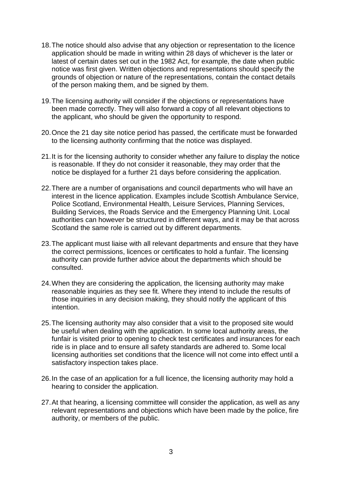- 18.The notice should also advise that any objection or representation to the licence application should be made in writing within 28 days of whichever is the later or latest of certain dates set out in the 1982 Act, for example, the date when public notice was first given. Written objections and representations should specify the grounds of objection or nature of the representations, contain the contact details of the person making them, and be signed by them.
- 19.The licensing authority will consider if the objections or representations have been made correctly. They will also forward a copy of all relevant objections to the applicant, who should be given the opportunity to respond.
- 20.Once the 21 day site notice period has passed, the certificate must be forwarded to the licensing authority confirming that the notice was displayed.
- 21.It is for the licensing authority to consider whether any failure to display the notice is reasonable. If they do not consider it reasonable, they may order that the notice be displayed for a further 21 days before considering the application.
- 22.There are a number of organisations and council departments who will have an interest in the licence application. Examples include Scottish Ambulance Service, Police Scotland, Environmental Health, Leisure Services, Planning Services, Building Services, the Roads Service and the Emergency Planning Unit. Local authorities can however be structured in different ways, and it may be that across Scotland the same role is carried out by different departments.
- 23.The applicant must liaise with all relevant departments and ensure that they have the correct permissions, licences or certificates to hold a funfair. The licensing authority can provide further advice about the departments which should be consulted.
- 24.When they are considering the application, the licensing authority may make reasonable inquiries as they see fit. Where they intend to include the results of those inquiries in any decision making, they should notify the applicant of this intention.
- 25.The licensing authority may also consider that a visit to the proposed site would be useful when dealing with the application. In some local authority areas, the funfair is visited prior to opening to check test certificates and insurances for each ride is in place and to ensure all safety standards are adhered to. Some local licensing authorities set conditions that the licence will not come into effect until a satisfactory inspection takes place.
- 26.In the case of an application for a full licence, the licensing authority may hold a hearing to consider the application.
- 27.At that hearing, a licensing committee will consider the application, as well as any relevant representations and objections which have been made by the police, fire authority, or members of the public.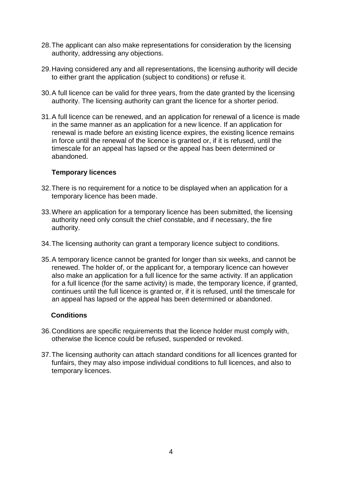- 28.The applicant can also make representations for consideration by the licensing authority, addressing any objections.
- 29.Having considered any and all representations, the licensing authority will decide to either grant the application (subject to conditions) or refuse it.
- 30.A full licence can be valid for three years, from the date granted by the licensing authority. The licensing authority can grant the licence for a shorter period.
- 31.A full licence can be renewed, and an application for renewal of a licence is made in the same manner as an application for a new licence. If an application for renewal is made before an existing licence expires, the existing licence remains in force until the renewal of the licence is granted or, if it is refused, until the timescale for an appeal has lapsed or the appeal has been determined or abandoned.

#### **Temporary licences**

- 32.There is no requirement for a notice to be displayed when an application for a temporary licence has been made.
- 33.Where an application for a temporary licence has been submitted, the licensing authority need only consult the chief constable, and if necessary, the fire authority.
- 34.The licensing authority can grant a temporary licence subject to conditions.
- 35.A temporary licence cannot be granted for longer than six weeks, and cannot be renewed. The holder of, or the applicant for, a temporary licence can however also make an application for a full licence for the same activity. If an application for a full licence (for the same activity) is made, the temporary licence, if granted, continues until the full licence is granted or, if it is refused, until the timescale for an appeal has lapsed or the appeal has been determined or abandoned.

#### **Conditions**

- 36.Conditions are specific requirements that the licence holder must comply with, otherwise the licence could be refused, suspended or revoked.
- 37.The licensing authority can attach standard conditions for all licences granted for funfairs, they may also impose individual conditions to full licences, and also to temporary licences.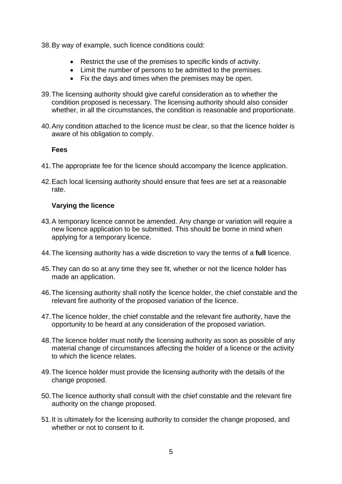38.By way of example, such licence conditions could:

- Restrict the use of the premises to specific kinds of activity.
- Limit the number of persons to be admitted to the premises.
- Fix the days and times when the premises may be open.
- 39.The licensing authority should give careful consideration as to whether the condition proposed is necessary. The licensing authority should also consider whether, in all the circumstances, the condition is reasonable and proportionate.
- 40.Any condition attached to the licence must be clear, so that the licence holder is aware of his obligation to comply.

#### **Fees**

- 41.The appropriate fee for the licence should accompany the licence application.
- 42.Each local licensing authority should ensure that fees are set at a reasonable rate.

# **Varying the licence**

- 43.A temporary licence cannot be amended. Any change or variation will require a new licence application to be submitted. This should be borne in mind when applying for a temporary licence.
- 44.The licensing authority has a wide discretion to vary the terms of a **full** licence.
- 45.They can do so at any time they see fit, whether or not the licence holder has made an application.
- 46.The licensing authority shall notify the licence holder, the chief constable and the relevant fire authority of the proposed variation of the licence.
- 47.The licence holder, the chief constable and the relevant fire authority, have the opportunity to be heard at any consideration of the proposed variation.
- 48.The licence holder must notify the licensing authority as soon as possible of any material change of circumstances affecting the holder of a licence or the activity to which the licence relates.
- 49.The licence holder must provide the licensing authority with the details of the change proposed.
- 50.The licence authority shall consult with the chief constable and the relevant fire authority on the change proposed.
- 51.It is ultimately for the licensing authority to consider the change proposed, and whether or not to consent to it.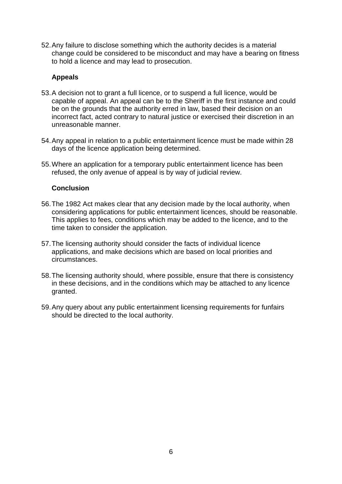52.Any failure to disclose something which the authority decides is a material change could be considered to be misconduct and may have a bearing on fitness to hold a licence and may lead to prosecution.

# **Appeals**

- 53.A decision not to grant a full licence, or to suspend a full licence, would be capable of appeal. An appeal can be to the Sheriff in the first instance and could be on the grounds that the authority erred in law, based their decision on an incorrect fact, acted contrary to natural justice or exercised their discretion in an unreasonable manner.
- 54.Any appeal in relation to a public entertainment licence must be made within 28 days of the licence application being determined.
- 55.Where an application for a temporary public entertainment licence has been refused, the only avenue of appeal is by way of judicial review.

#### **Conclusion**

- 56.The 1982 Act makes clear that any decision made by the local authority, when considering applications for public entertainment licences, should be reasonable. This applies to fees, conditions which may be added to the licence, and to the time taken to consider the application.
- 57.The licensing authority should consider the facts of individual licence applications, and make decisions which are based on local priorities and circumstances.
- 58.The licensing authority should, where possible, ensure that there is consistency in these decisions, and in the conditions which may be attached to any licence granted.
- 59.Any query about any public entertainment licensing requirements for funfairs should be directed to the local authority.